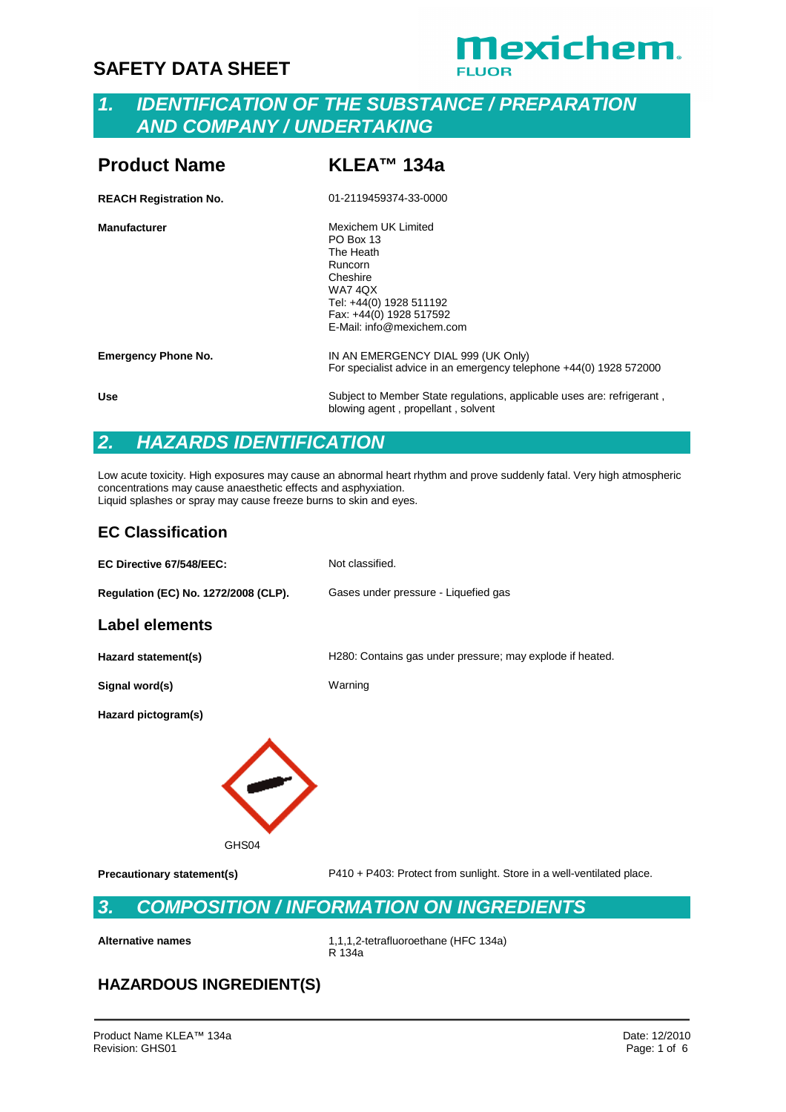# **Mexichem.**

## *1. IDENTIFICATION OF THE SUBSTANCE / PREPARATION AND COMPANY / UNDERTAKING*

| <b>Product Name</b>           | KLEA™ 134a                                                                                                                                                                       |
|-------------------------------|----------------------------------------------------------------------------------------------------------------------------------------------------------------------------------|
| <b>REACH Registration No.</b> | 01-2119459374-33-0000                                                                                                                                                            |
| <b>Manufacturer</b>           | Mexichem UK Limited<br><b>PO Box 13</b><br>The Heath<br>Runcorn<br>Cheshire<br><b>WA7 4QX</b><br>Tel: +44(0) 1928 511192<br>Fax: +44(0) 1928 517592<br>E-Mail: info@mexichem.com |
| <b>Emergency Phone No.</b>    | IN AN EMERGENCY DIAL 999 (UK Only)<br>For specialist advice in an emergency telephone +44(0) 1928 572000                                                                         |
| <b>Use</b>                    | Subject to Member State regulations, applicable uses are: refrigerant,                                                                                                           |

*2. HAZARDS IDENTIFICATION*

Low acute toxicity. High exposures may cause an abnormal heart rhythm and prove suddenly fatal. Very high atmospheric concentrations may cause anaesthetic effects and asphyxiation. Liquid splashes or spray may cause freeze burns to skin and eyes.

blowing agent, propellant, solvent

#### **EC Classification**

**EC Directive 67/548/EEC:** Not classified. **Regulation (EC) No. 1272/2008 (CLP).** Gases under pressure - Liquefied gas **Label elements Hazard statement(s)** H280: Contains gas under pressure; may explode if heated. **Signal word(s)** Warning **Hazard pictogram(s)** GHS04 **Precautionary statement(s)** P410 + P403: Protect from sunlight. Store in a well-ventilated place. *3. COMPOSITION / INFORMATION ON INGREDIENTS* **Alternative names** 1,1,1,2-tetrafluoroethane (HFC 134a) R 134a

#### **HAZARDOUS INGREDIENT(S)**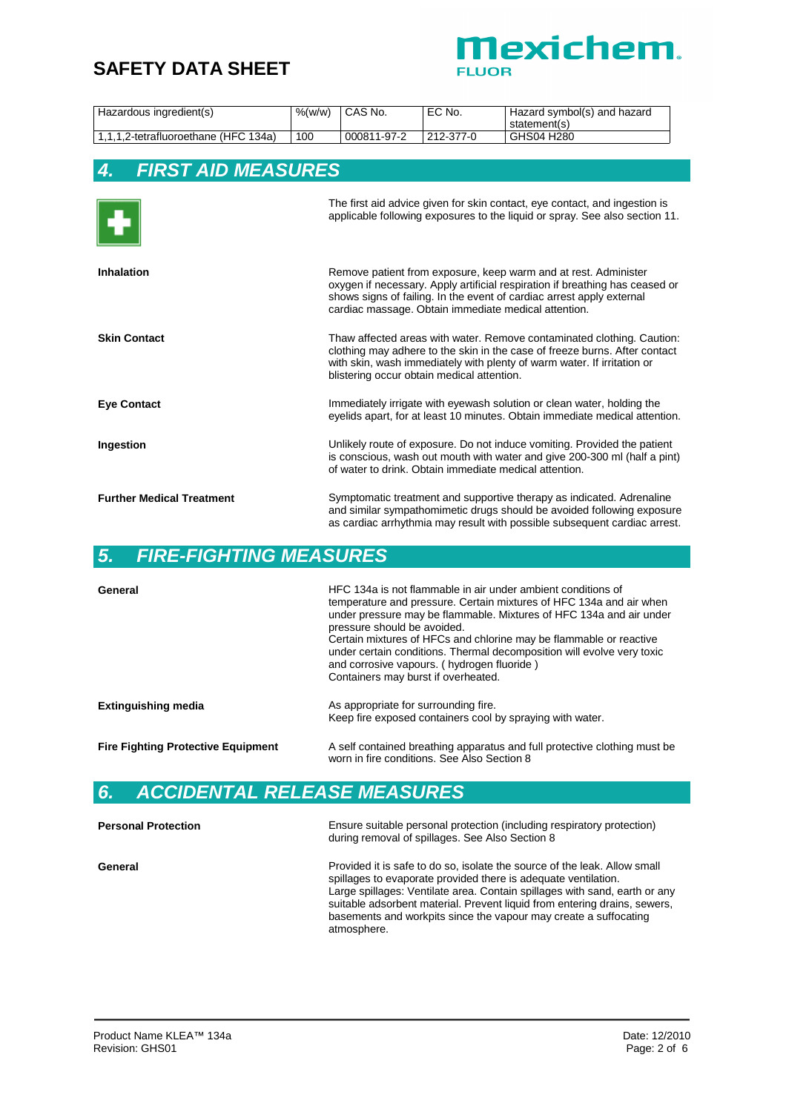

| Hazardous ingredient(s)              | %(w/w) | <sup>1</sup> CAS No. | ' EC No.  | Hazard symbol(s) and hazard<br>statement(s) |
|--------------------------------------|--------|----------------------|-----------|---------------------------------------------|
| 1,1,1,2-tetrafluoroethane (HFC 134a) | 100    | 000811-97-2          | 212-377-0 | GHS04 H280                                  |

## *4. FIRST AID MEASURES*

| H                                | The first aid advice given for skin contact, eye contact, and ingestion is<br>applicable following exposures to the liquid or spray. See also section 11.                                                                                                                        |
|----------------------------------|----------------------------------------------------------------------------------------------------------------------------------------------------------------------------------------------------------------------------------------------------------------------------------|
| <b>Inhalation</b>                | Remove patient from exposure, keep warm and at rest. Administer<br>oxygen if necessary. Apply artificial respiration if breathing has ceased or<br>shows signs of failing. In the event of cardiac arrest apply external<br>cardiac massage. Obtain immediate medical attention. |
| <b>Skin Contact</b>              | Thaw affected areas with water. Remove contaminated clothing. Caution:<br>clothing may adhere to the skin in the case of freeze burns. After contact<br>with skin, wash immediately with plenty of warm water. If irritation or<br>blistering occur obtain medical attention.    |
| <b>Eye Contact</b>               | Immediately irrigate with eyewash solution or clean water, holding the<br>eyelids apart, for at least 10 minutes. Obtain immediate medical attention.                                                                                                                            |
| Ingestion                        | Unlikely route of exposure. Do not induce vomiting. Provided the patient<br>is conscious, wash out mouth with water and give 200-300 ml (half a pint)<br>of water to drink. Obtain immediate medical attention.                                                                  |
| <b>Further Medical Treatment</b> | Symptomatic treatment and supportive therapy as indicated. Adrenaline<br>and similar sympathomimetic drugs should be avoided following exposure<br>as cardiac arrhythmia may result with possible subsequent cardiac arrest.                                                     |

## *5. FIRE-FIGHTING MEASURES*

| General                                   | HFC 134a is not flammable in air under ambient conditions of<br>temperature and pressure. Certain mixtures of HFC 134a and air when<br>under pressure may be flammable. Mixtures of HFC 134a and air under<br>pressure should be avoided.<br>Certain mixtures of HFCs and chlorine may be flammable or reactive<br>under certain conditions. Thermal decomposition will evolve very toxic<br>and corrosive vapours. (hydrogen fluoride)<br>Containers may burst if overheated. |
|-------------------------------------------|--------------------------------------------------------------------------------------------------------------------------------------------------------------------------------------------------------------------------------------------------------------------------------------------------------------------------------------------------------------------------------------------------------------------------------------------------------------------------------|
| <b>Extinguishing media</b>                | As appropriate for surrounding fire.<br>Keep fire exposed containers cool by spraying with water.                                                                                                                                                                                                                                                                                                                                                                              |
| <b>Fire Fighting Protective Equipment</b> | A self contained breathing apparatus and full protective clothing must be<br>worn in fire conditions. See Also Section 8                                                                                                                                                                                                                                                                                                                                                       |

# *6. ACCIDENTAL RELEASE MEASURES*

| <b>Personal Protection</b> | Ensure suitable personal protection (including respiratory protection)<br>during removal of spillages. See Also Section 8                                                                                                                                                                                                                                                                 |
|----------------------------|-------------------------------------------------------------------------------------------------------------------------------------------------------------------------------------------------------------------------------------------------------------------------------------------------------------------------------------------------------------------------------------------|
| General                    | Provided it is safe to do so, isolate the source of the leak. Allow small<br>spillages to evaporate provided there is adequate ventilation.<br>Large spillages: Ventilate area. Contain spillages with sand, earth or any<br>suitable adsorbent material. Prevent liquid from entering drains, sewers,<br>basements and workpits since the vapour may create a suffocating<br>atmosphere. |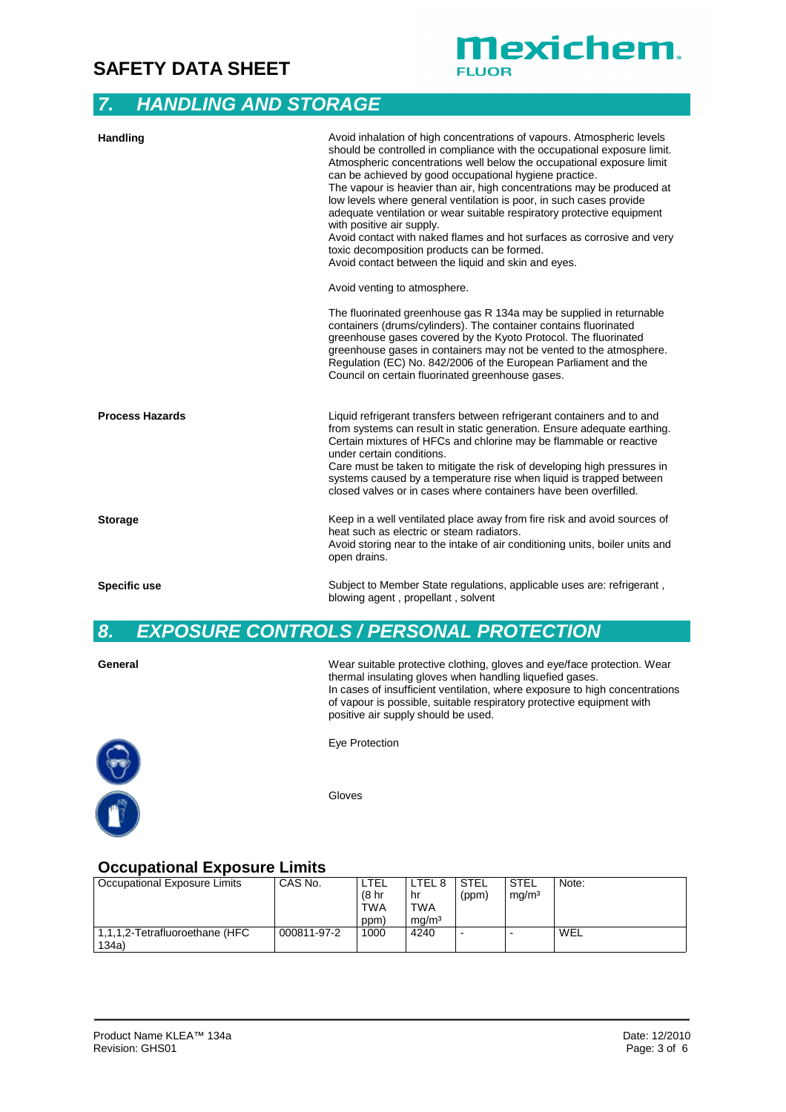## *7. HANDLING AND STORAGE*

| Handling               | Avoid inhalation of high concentrations of vapours. Atmospheric levels<br>should be controlled in compliance with the occupational exposure limit.<br>Atmospheric concentrations well below the occupational exposure limit<br>can be achieved by good occupational hygiene practice.<br>The vapour is heavier than air, high concentrations may be produced at<br>low levels where general ventilation is poor, in such cases provide<br>adequate ventilation or wear suitable respiratory protective equipment<br>with positive air supply.<br>Avoid contact with naked flames and hot surfaces as corrosive and very<br>toxic decomposition products can be formed.<br>Avoid contact between the liquid and skin and eyes. |
|------------------------|-------------------------------------------------------------------------------------------------------------------------------------------------------------------------------------------------------------------------------------------------------------------------------------------------------------------------------------------------------------------------------------------------------------------------------------------------------------------------------------------------------------------------------------------------------------------------------------------------------------------------------------------------------------------------------------------------------------------------------|
|                        | Avoid venting to atmosphere.                                                                                                                                                                                                                                                                                                                                                                                                                                                                                                                                                                                                                                                                                                  |
|                        | The fluorinated greenhouse gas R 134a may be supplied in returnable<br>containers (drums/cylinders). The container contains fluorinated<br>greenhouse gases covered by the Kyoto Protocol. The fluorinated<br>greenhouse gases in containers may not be vented to the atmosphere.<br>Regulation (EC) No. 842/2006 of the European Parliament and the<br>Council on certain fluorinated greenhouse gases.                                                                                                                                                                                                                                                                                                                      |
| <b>Process Hazards</b> | Liquid refrigerant transfers between refrigerant containers and to and<br>from systems can result in static generation. Ensure adequate earthing.<br>Certain mixtures of HFCs and chlorine may be flammable or reactive<br>under certain conditions.<br>Care must be taken to mitigate the risk of developing high pressures in<br>systems caused by a temperature rise when liquid is trapped between<br>closed valves or in cases where containers have been overfilled.                                                                                                                                                                                                                                                    |
| <b>Storage</b>         | Keep in a well ventilated place away from fire risk and avoid sources of<br>heat such as electric or steam radiators.<br>Avoid storing near to the intake of air conditioning units, boiler units and<br>open drains.                                                                                                                                                                                                                                                                                                                                                                                                                                                                                                         |
| Specific use           | Subject to Member State regulations, applicable uses are: refrigerant,<br>blowing agent, propellant, solvent                                                                                                                                                                                                                                                                                                                                                                                                                                                                                                                                                                                                                  |

**Mexichem.** 

**UOR** 

# *8. EXPOSURE CONTROLS / PERSONAL PROTECTION*

| General    | Wear suitable protective clothing, gloves and eye/face protection. Wear<br>thermal insulating gloves when handling liquefied gases.<br>In cases of insufficient ventilation, where exposure to high concentrations<br>of vapour is possible, suitable respiratory protective equipment with<br>positive air supply should be used. |
|------------|------------------------------------------------------------------------------------------------------------------------------------------------------------------------------------------------------------------------------------------------------------------------------------------------------------------------------------|
| $\bigcirc$ | Eye Protection                                                                                                                                                                                                                                                                                                                     |



Gloves

## **Occupational Exposure Limits**

| Occupational Exposure Limits   | CAS No.     | LTEL             | ∟TEL 8            | STEL           | STEL              | Note: |
|--------------------------------|-------------|------------------|-------------------|----------------|-------------------|-------|
|                                |             | (8 <sub>hr</sub> | hr                | (ppm)          | mg/m <sup>3</sup> |       |
|                                |             | <b>TWA</b>       | <b>TWA</b>        |                |                   |       |
|                                |             | (ppm             | ma/m <sup>3</sup> |                |                   |       |
| 1,1,1,2-Tetrafluoroethane (HFC | 000811-97-2 | 1000             | 4240              | $\blacksquare$ |                   | WEL   |
| 134a                           |             |                  |                   |                |                   |       |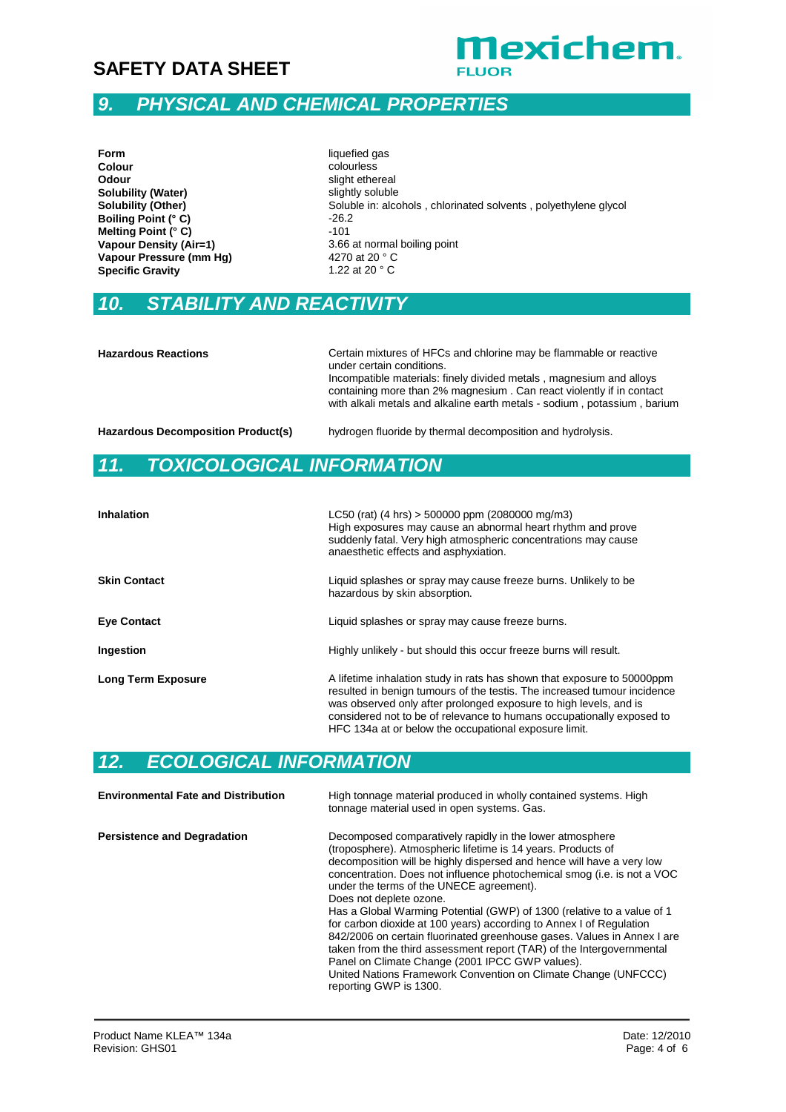

# *9. PHYSICAL AND CHEMICAL PROPERTIES*

# *10. STABILITY AND REACTIVITY*

| <b>Hazardous Reactions</b>                | Certain mixtures of HFCs and chlorine may be flammable or reactive<br>under certain conditions.<br>Incompatible materials: finely divided metals, magnesium and alloys<br>containing more than 2% magnesium. Can react violently if in contact<br>with alkali metals and alkaline earth metals - sodium, potassium, barium |
|-------------------------------------------|----------------------------------------------------------------------------------------------------------------------------------------------------------------------------------------------------------------------------------------------------------------------------------------------------------------------------|
| <b>Hazardous Decomposition Product(s)</b> | hydrogen fluoride by thermal decomposition and hydrolysis.                                                                                                                                                                                                                                                                 |

## *11. TOXICOLOGICAL INFORMATION*

| <b>Inhalation</b>         | LC50 (rat) (4 hrs) > 500000 ppm (2080000 mg/m3)<br>High exposures may cause an abnormal heart rhythm and prove<br>suddenly fatal. Very high atmospheric concentrations may cause<br>anaesthetic effects and asphyxiation.                                                                                                                                  |
|---------------------------|------------------------------------------------------------------------------------------------------------------------------------------------------------------------------------------------------------------------------------------------------------------------------------------------------------------------------------------------------------|
| <b>Skin Contact</b>       | Liquid splashes or spray may cause freeze burns. Unlikely to be<br>hazardous by skin absorption.                                                                                                                                                                                                                                                           |
| <b>Eye Contact</b>        | Liquid splashes or spray may cause freeze burns.                                                                                                                                                                                                                                                                                                           |
| Ingestion                 | Highly unlikely - but should this occur freeze burns will result.                                                                                                                                                                                                                                                                                          |
| <b>Long Term Exposure</b> | A lifetime inhalation study in rats has shown that exposure to 50000ppm<br>resulted in benign tumours of the testis. The increased tumour incidence<br>was observed only after prolonged exposure to high levels, and is<br>considered not to be of relevance to humans occupationally exposed to<br>HFC 134a at or below the occupational exposure limit. |

## *12. ECOLOGICAL INFORMATION*

| <b>Environmental Fate and Distribution</b> | High tonnage material produced in wholly contained systems. High<br>tonnage material used in open systems. Gas.                                                                                                                                                                                                                                                                                                                                                                                                                                                                                                                                                                                                                                                                                         |
|--------------------------------------------|---------------------------------------------------------------------------------------------------------------------------------------------------------------------------------------------------------------------------------------------------------------------------------------------------------------------------------------------------------------------------------------------------------------------------------------------------------------------------------------------------------------------------------------------------------------------------------------------------------------------------------------------------------------------------------------------------------------------------------------------------------------------------------------------------------|
| <b>Persistence and Degradation</b>         | Decomposed comparatively rapidly in the lower atmosphere<br>(troposphere). Atmospheric lifetime is 14 years. Products of<br>decomposition will be highly dispersed and hence will have a very low<br>concentration. Does not influence photochemical smog (i.e. is not a VOC<br>under the terms of the UNECE agreement).<br>Does not deplete ozone.<br>Has a Global Warming Potential (GWP) of 1300 (relative to a value of 1<br>for carbon dioxide at 100 years) according to Annex I of Regulation<br>842/2006 on certain fluorinated greenhouse gases. Values in Annex I are<br>taken from the third assessment report (TAR) of the Intergovernmental<br>Panel on Climate Change (2001 IPCC GWP values).<br>United Nations Framework Convention on Climate Change (UNFCCC)<br>reporting GWP is 1300. |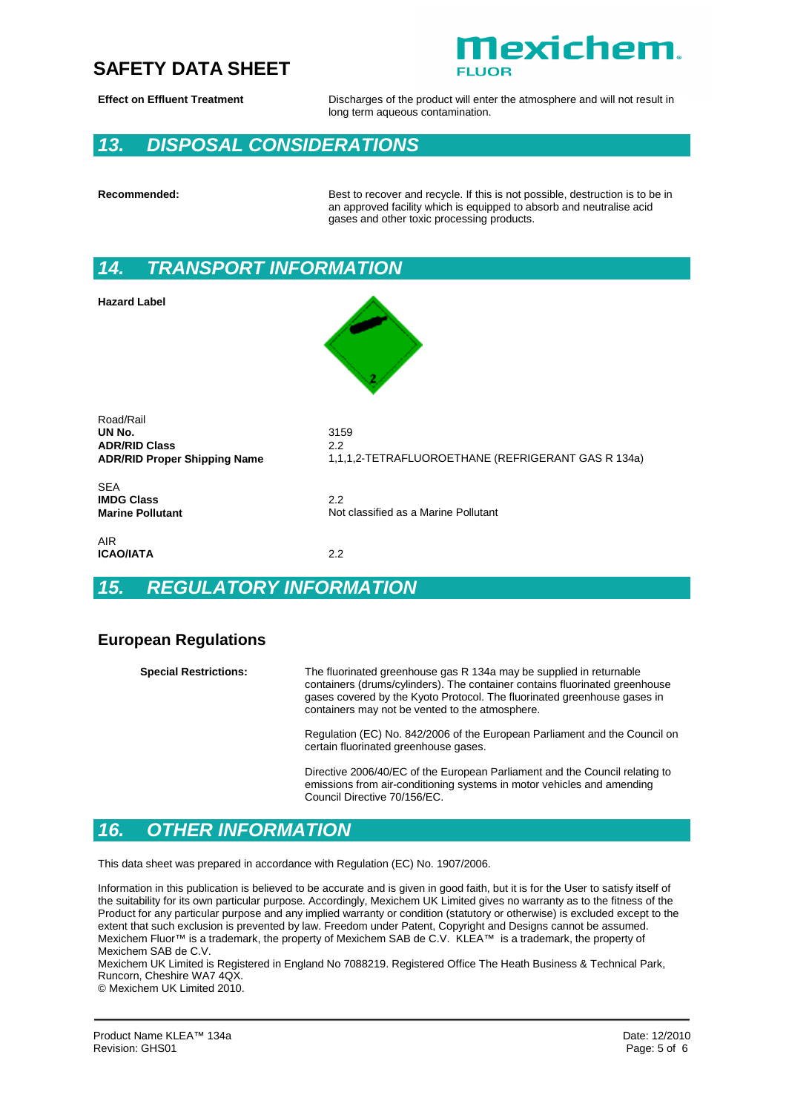

**Effect on Effluent Treatment** Discharges of the product will enter the atmosphere and will not result in long term aqueous contamination.

## *13. DISPOSAL CONSIDERATIONS*

**Recommended:** Best to recover and recycle. If this is not possible, destruction is to be in an approved facility which is equipped to absorb and neutralise acid gases and other toxic processing products.

## *14. TRANSPORT INFORMATION*

**Hazard Label**



Road/Rail **UN No.** 3159 **ADR/RID Class** 2.2

**ADR/RID Proper Shipping Name** 1,1,1,2-TETRAFLUOROETHANE (REFRIGERANT GAS R 134a)

SEA **IMDG Class** 2.2

AIR **ICAO/IATA** 2.2

## *15. REGULATORY INFORMATION*

#### **European Regulations**

**Special Restrictions:** The fluorinated greenhouse gas R 134a may be supplied in returnable containers (drums/cylinders). The container contains fluorinated greenhouse gases covered by the Kyoto Protocol. The fluorinated greenhouse gases in containers may not be vented to the atmosphere.

**Marine Pollutant** Not classified as a Marine Pollutant

Regulation (EC) No. 842/2006 of the European Parliament and the Council on certain fluorinated greenhouse gases.

Directive 2006/40/EC of the European Parliament and the Council relating to emissions from air-conditioning systems in motor vehicles and amending Council Directive 70/156/EC.

## *16. OTHER INFORMATION*

This data sheet was prepared in accordance with Regulation (EC) No. 1907/2006.

Information in this publication is believed to be accurate and is given in good faith, but it is for the User to satisfy itself of the suitability for its own particular purpose. Accordingly, Mexichem UK Limited gives no warranty as to the fitness of the Product for any particular purpose and any implied warranty or condition (statutory or otherwise) is excluded except to the extent that such exclusion is prevented by law. Freedom under Patent, Copyright and Designs cannot be assumed. Mexichem Fluor™ is a trademark, the property of Mexichem SAB de C.V. KLEA™ is a trademark, the property of Mexichem SAB de C.V.

Mexichem UK Limited is Registered in England No 7088219. Registered Office The Heath Business & Technical Park, Runcorn, Cheshire WA7 4QX.

© Mexichem UK Limited 2010.